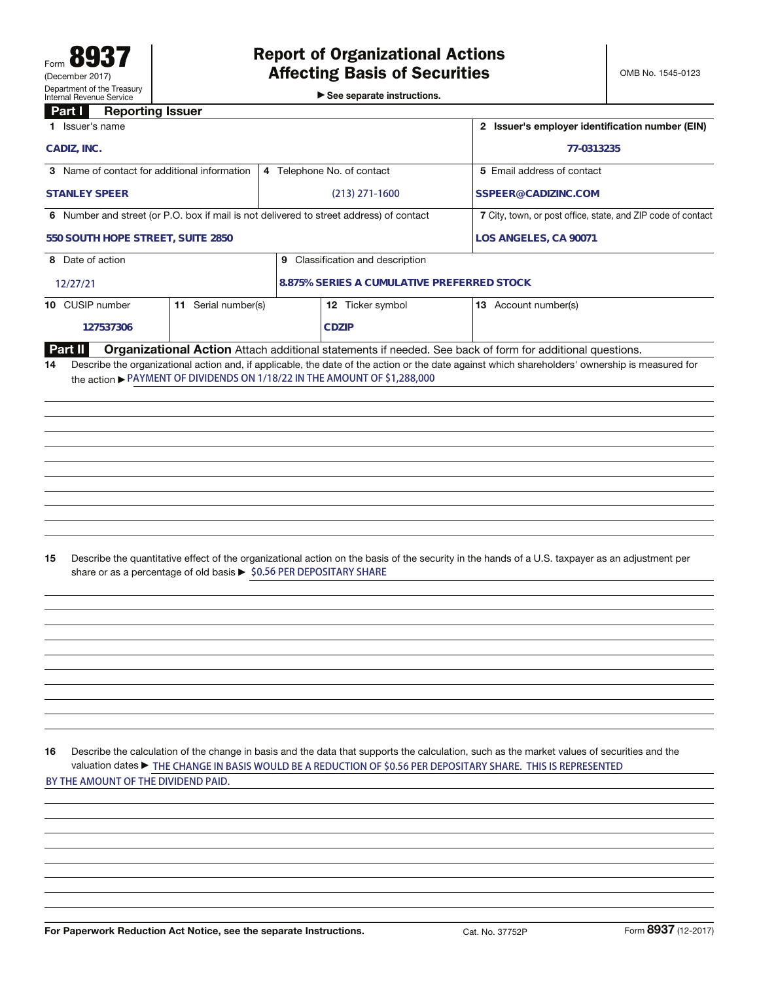►<br>► See separate instructions.

## **Part I Reporting Issuer**

| <u>raru</u><br>neporung issuer                                                          |                                                                                                                |                                                                                                                                                 |  |  |
|-----------------------------------------------------------------------------------------|----------------------------------------------------------------------------------------------------------------|-------------------------------------------------------------------------------------------------------------------------------------------------|--|--|
| 1 Issuer's name                                                                         | 2 Issuer's employer identification number (EIN)                                                                |                                                                                                                                                 |  |  |
| CADIZ, INC.                                                                             | 77-0313235                                                                                                     |                                                                                                                                                 |  |  |
| 3 Name of contact for additional information                                            | 4 Telephone No. of contact                                                                                     | 5 Email address of contact                                                                                                                      |  |  |
| <b>STANLEY SPEER</b>                                                                    | $(213)$ 271-1600                                                                                               | SSPEER@CADIZINC.COM                                                                                                                             |  |  |
| 6 Number and street (or P.O. box if mail is not delivered to street address) of contact | 7 City, town, or post office, state, and ZIP code of contact                                                   |                                                                                                                                                 |  |  |
| 550 SOUTH HOPE STREET, SUITE 2850                                                       | LOS ANGELES, CA 90071                                                                                          |                                                                                                                                                 |  |  |
| 8 Date of action                                                                        |                                                                                                                |                                                                                                                                                 |  |  |
| 12/27/21                                                                                | 8.875% SERIES A CUMULATIVE PREFERRED STOCK                                                                     |                                                                                                                                                 |  |  |
| 10 CUSIP number<br>11 Serial number(s)                                                  | 12 Ticker symbol                                                                                               | 13 Account number(s)                                                                                                                            |  |  |
| 127537306                                                                               | <b>CDZIP</b>                                                                                                   |                                                                                                                                                 |  |  |
| Part II                                                                                 |                                                                                                                | Organizational Action Attach additional statements if needed. See back of form for additional questions.                                        |  |  |
| 14<br>the action ▶ PAYMENT OF DIVIDENDS ON 1/18/22 IN THE AMOUNT OF \$1,288,000         |                                                                                                                | Describe the organizational action and, if applicable, the date of the action or the date against which shareholders' ownership is measured for |  |  |
|                                                                                         |                                                                                                                |                                                                                                                                                 |  |  |
|                                                                                         |                                                                                                                |                                                                                                                                                 |  |  |
|                                                                                         |                                                                                                                |                                                                                                                                                 |  |  |
|                                                                                         |                                                                                                                |                                                                                                                                                 |  |  |
|                                                                                         |                                                                                                                |                                                                                                                                                 |  |  |
|                                                                                         |                                                                                                                |                                                                                                                                                 |  |  |
|                                                                                         |                                                                                                                |                                                                                                                                                 |  |  |
| 15<br>share or as a percentage of old basis ▶ \$0.56 PER DEPOSITARY SHARE               |                                                                                                                | Describe the quantitative effect of the organizational action on the basis of the security in the hands of a U.S. taxpayer as an adjustment per |  |  |
|                                                                                         |                                                                                                                |                                                                                                                                                 |  |  |
|                                                                                         |                                                                                                                |                                                                                                                                                 |  |  |
|                                                                                         |                                                                                                                |                                                                                                                                                 |  |  |
|                                                                                         |                                                                                                                |                                                                                                                                                 |  |  |
|                                                                                         |                                                                                                                |                                                                                                                                                 |  |  |
|                                                                                         |                                                                                                                |                                                                                                                                                 |  |  |
|                                                                                         |                                                                                                                |                                                                                                                                                 |  |  |
|                                                                                         |                                                                                                                |                                                                                                                                                 |  |  |
| 16                                                                                      | valuation dates ► THE CHANGE IN BASIS WOULD BE A REDUCTION OF \$0.56 PER DEPOSITARY SHARE. THIS IS REPRESENTED | Describe the calculation of the change in basis and the data that supports the calculation, such as the market values of securities and the     |  |  |
| BY THE AMOUNT OF THE DIVIDEND PAID.                                                     |                                                                                                                |                                                                                                                                                 |  |  |
|                                                                                         |                                                                                                                |                                                                                                                                                 |  |  |
|                                                                                         |                                                                                                                |                                                                                                                                                 |  |  |
|                                                                                         |                                                                                                                |                                                                                                                                                 |  |  |
|                                                                                         |                                                                                                                |                                                                                                                                                 |  |  |
|                                                                                         |                                                                                                                |                                                                                                                                                 |  |  |
|                                                                                         |                                                                                                                |                                                                                                                                                 |  |  |
|                                                                                         |                                                                                                                |                                                                                                                                                 |  |  |